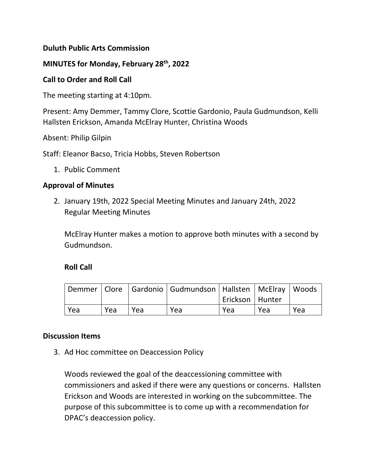# **Duluth Public Arts Commission**

### **MINUTES for Monday, February 28th, 2022**

#### **Call to Order and Roll Call**

The meeting starting at 4:10pm.

Present: Amy Demmer, Tammy Clore, Scottie Gardonio, Paula Gudmundson, Kelli Hallsten Erickson, Amanda McElray Hunter, Christina Woods

Absent: Philip Gilpin

Staff: Eleanor Bacso, Tricia Hobbs, Steven Robertson

1. Public Comment

### **Approval of Minutes**

2. January 19th, 2022 Special Meeting Minutes and January 24th, 2022 Regular Meeting Minutes

McElray Hunter makes a motion to approve both minutes with a second by Gudmundson.

### **Roll Call**

|     |     |     |     | Demmer   Clore   Gardonio   Gudmundson   Hallsten   McElray   Woods |     |     |
|-----|-----|-----|-----|---------------------------------------------------------------------|-----|-----|
|     |     |     |     | Erickson   Hunter                                                   |     |     |
| Yea | Yea | Yea | Yea | Yea                                                                 | Yea | Yea |

#### **Discussion Items**

3. Ad Hoc committee on Deaccession Policy

Woods reviewed the goal of the deaccessioning committee with commissioners and asked if there were any questions or concerns. Hallsten Erickson and Woods are interested in working on the subcommittee. The purpose of this subcommittee is to come up with a recommendation for DPAC's deaccession policy.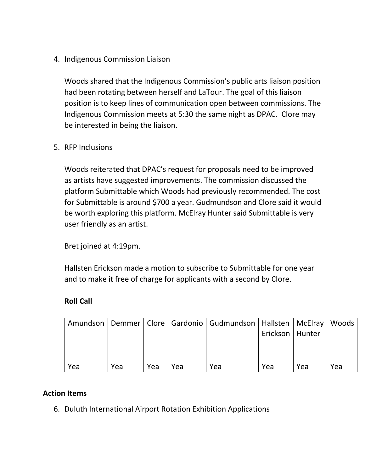4. Indigenous Commission Liaison

Woods shared that the Indigenous Commission's public arts liaison position had been rotating between herself and LaTour. The goal of this liaison position is to keep lines of communication open between commissions. The Indigenous Commission meets at 5:30 the same night as DPAC. Clore may be interested in being the liaison.

5. RFP Inclusions

Woods reiterated that DPAC's request for proposals need to be improved as artists have suggested improvements. The commission discussed the platform Submittable which Woods had previously recommended. The cost for Submittable is around \$700 a year. Gudmundson and Clore said it would be worth exploring this platform. McElray Hunter said Submittable is very user friendly as an artist.

Bret joined at 4:19pm.

Hallsten Erickson made a motion to subscribe to Submittable for one year and to make it free of charge for applicants with a second by Clore.

### **Roll Call**

|     |     |     |     | Amundson   Demmer   Clore   Gardonio   Gudmundson   Hallsten   McElray   Woods | Erickson   Hunter |     |     |
|-----|-----|-----|-----|--------------------------------------------------------------------------------|-------------------|-----|-----|
| Yea | Yea | Yea | Yea | Yea                                                                            | Yea               | Yea | Yea |

### **Action Items**

6. Duluth International Airport Rotation Exhibition Applications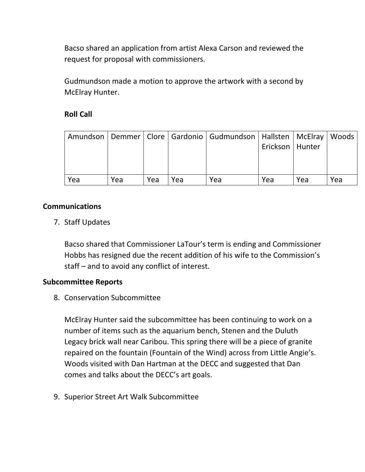Bacso shared an application from artist Alexa Carson and reviewed the request for proposal with commissioners.

Gudmundson made a motion to approve the artwork with a second by McElray Hunter.

# **Roll Call**

|     |     |     |     | Amundson   Demmer   Clore   Gardonio   Gudmundson   Hallsten   McElray   Woods |                   |     |     |
|-----|-----|-----|-----|--------------------------------------------------------------------------------|-------------------|-----|-----|
|     |     |     |     |                                                                                | Erickson   Hunter |     |     |
|     |     |     |     |                                                                                |                   |     |     |
|     |     |     |     |                                                                                |                   |     |     |
| Yea | Yea | Yea | Yea | Yea                                                                            | Yea               | Yea | Yea |

# **Communications**

7. Staff Updates

Bacso shared that Commissioner LaTour's term is ending and Commissioner Hobbs has resigned due the recent addition of his wife to the Commission's staff – and to avoid any conflict of interest.

### **Subcommittee Reports**

8. Conservation Subcommittee

McElray Hunter said the subcommittee has been continuing to work on a number of items such as the aquarium bench, Stenen and the Duluth Legacy brick wall near Caribou. This spring there will be a piece of granite repaired on the fountain (Fountain of the Wind) across from Little Angie's. Woods visited with Dan Hartman at the DECC and suggested that Dan comes and talks about the DECC's art goals.

9. Superior Street Art Walk Subcommittee